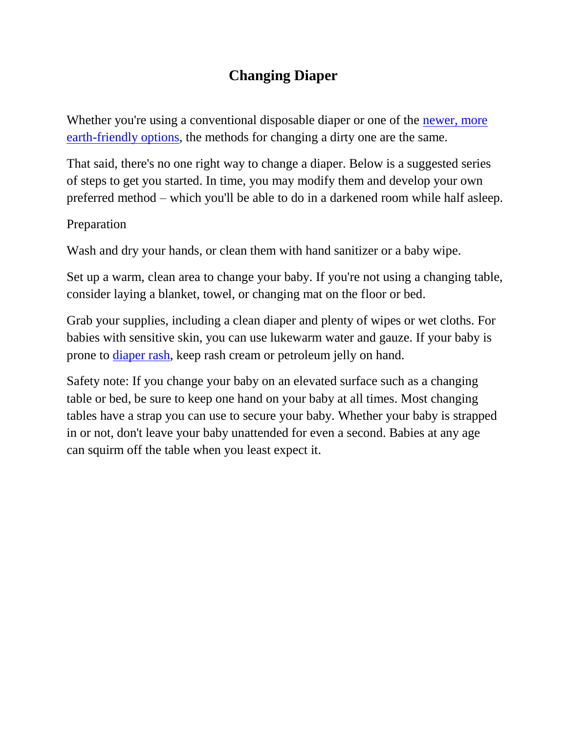## **Changing Diaper**

Whether you're using a conventional disposable diaper or one of the newer, more [earth-friendly options,](http://www.babycenter.com/0_disposable-diapers-a-quick-guide-to-earth-friendly-choices_10320141.bc) the methods for changing a dirty one are the same.

That said, there's no one right way to change a diaper. Below is a suggested series of steps to get you started. In time, you may modify them and develop your own preferred method – which you'll be able to do in a darkened room while half asleep.

## Preparation

Wash and dry your hands, or clean them with hand sanitizer or a baby wipe.

Set up a warm, clean area to change your baby. If you're not using a changing table, consider laying a blanket, towel, or changing mat on the floor or bed.

Grab your supplies, including a clean diaper and plenty of wipes or wet cloths. For babies with sensitive skin, you can use lukewarm water and gauze. If your baby is prone to <u>[diaper](http://www.babycenter.com/0_diaper-rash_81.bc) rash</u>, keep rash cream or petroleum jelly on hand.

Safety note: If you change your baby on an elevated surface such as a changing table or bed, be sure to keep one hand on your baby at all times. Most changing tables have a strap you can use to secure your baby. Whether your baby is strapped in or not, don't leave your baby unattended for even a second. Babies at any age can squirm off the table when you least expect it.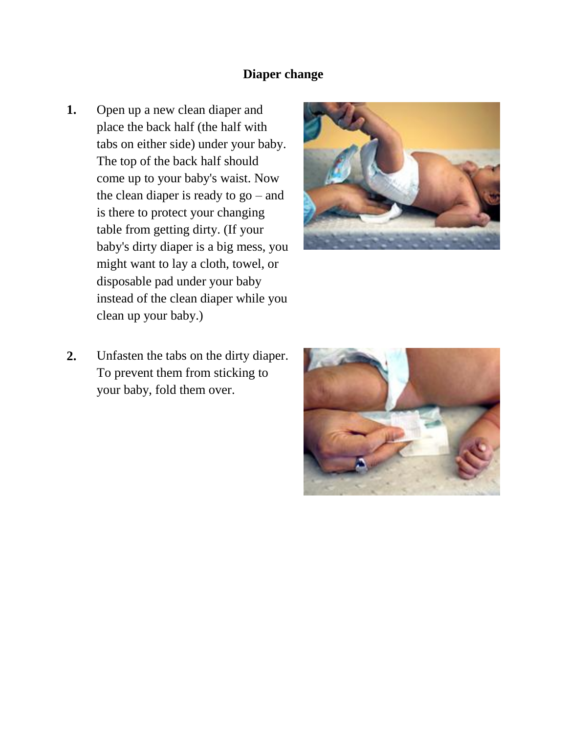## **Diaper change**

**1.** Open up a new clean diaper and place the back half (the half with tabs on either side) under your baby. The top of the back half should come up to your baby's waist. Now the clean diaper is ready to go – and is there to protect your changing table from getting dirty. (If your baby's dirty diaper is a big mess, you might want to lay a cloth, towel, or disposable pad under your baby instead of the clean diaper while you clean up your baby.)



**2.** Unfasten the tabs on the dirty diaper. To prevent them from sticking to your baby, fold them over.

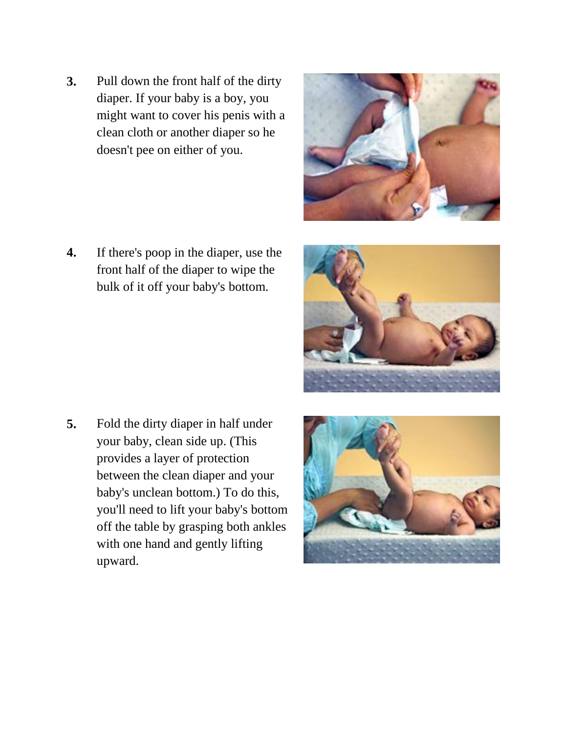**3.** Pull down the front half of the dirty diaper. If your baby is a boy, you might want to cover his penis with a clean cloth or another diaper so he doesn't pee on either of you.

**4.** If there's poop in the diaper, use the front half of the diaper to wipe the bulk of it off your baby's bottom.

**5.** Fold the dirty diaper in half under your baby, clean side up. (This provides a layer of protection between the clean diaper and your baby's unclean bottom.) To do this, you'll need to lift your baby's bottom off the table by grasping both ankles with one hand and gently lifting upward.





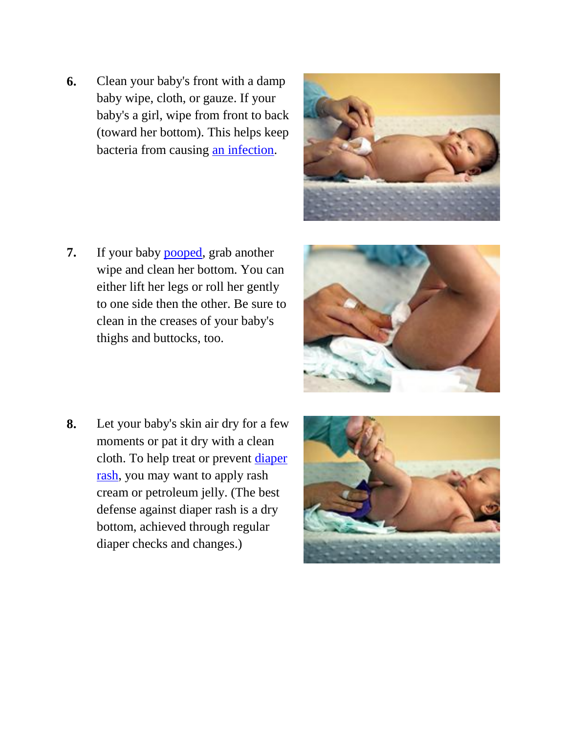**6.** Clean your baby's front with a damp baby wipe, cloth, or gauze. If your baby's a girl, wipe from front to back (toward her bottom). This helps keep bacteria from causing [an infection.](http://www.babycenter.com/0_urinary-tract-infection_10910.bc)



**7.** If your baby [pooped,](http://www.babycenter.com/0_baby-poop-a-complete-guide_10319333.bc) grab another wipe and clean her bottom. You can either lift her legs or roll her gently to one side then the other. Be sure to clean in the creases of your baby's thighs and buttocks, too.



**8.** Let your baby's skin air dry for a few moments or pat it dry with a clean cloth. To help treat or prevent [diaper](http://www.babycenter.com/0_diaper-rash_81.bc)  [rash,](http://www.babycenter.com/0_diaper-rash_81.bc) you may want to apply rash cream or petroleum jelly. (The best defense against diaper rash is a dry bottom, achieved through regular diaper checks and changes.)

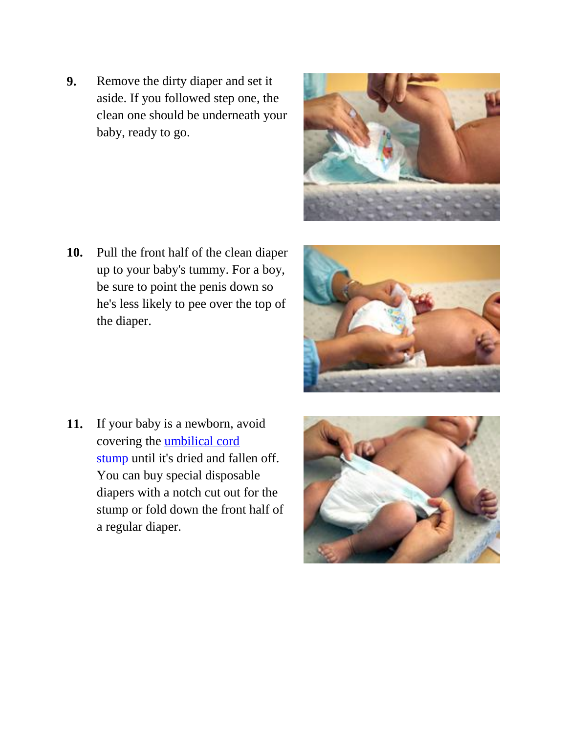- **9.** Remove the dirty diaper and set it aside. If you followed step one, the clean one should be underneath your baby, ready to go.
- 
- **10.** Pull the front half of the clean diaper up to your baby's tummy. For a boy, be sure to point the penis down so he's less likely to pee over the top of the diaper.



**11.** If your baby is a newborn, avoid covering the [umbilical cord](http://www.babycenter.com/0_caring-for-your-newborns-umbilical-cord-stump_127.bc)  [stump](http://www.babycenter.com/0_caring-for-your-newborns-umbilical-cord-stump_127.bc) until it's dried and fallen off. You can buy special disposable diapers with a notch cut out for the stump or fold down the front half of a regular diaper.

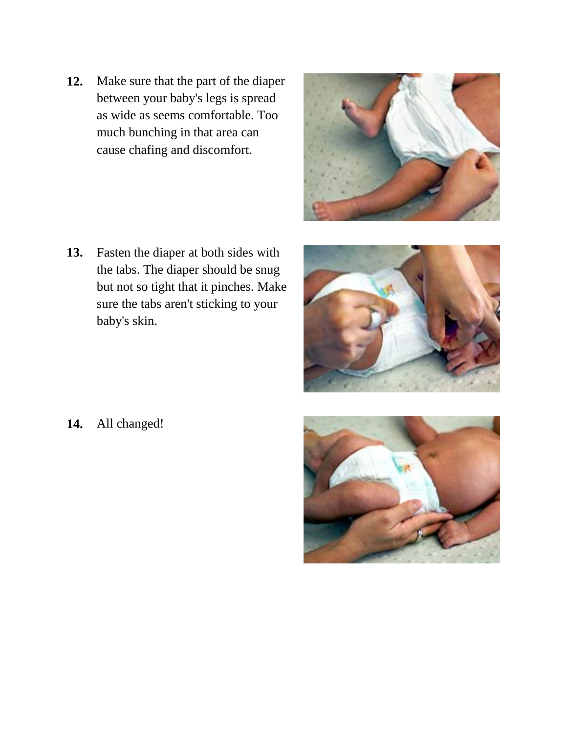**12.** Make sure that the part of the diaper between your baby's legs is spread as wide as seems comfortable. Too much bunching in that area can cause chafing and discomfort.



**13.** Fasten the diaper at both sides with the tabs. The diaper should be snug but not so tight that it pinches. Make sure the tabs aren't sticking to your baby's skin.



**14.** All changed!

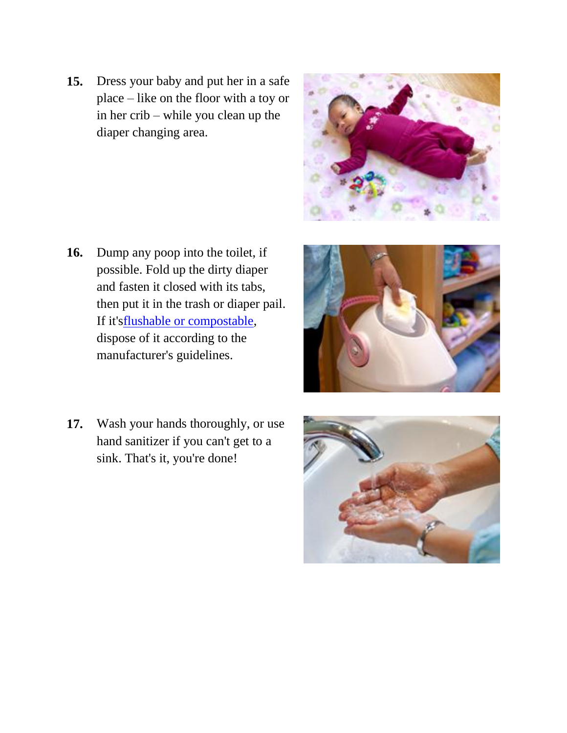**15.** Dress your baby and put her in a safe place – like on the floor with a toy or in her crib – while you clean up the diaper changing area.

- **16.** Dump any poop into the toilet, if possible. Fold up the dirty diaper and fasten it closed with its tabs, then put it in the trash or diaper pail. If it'[sflushable or compostable,](http://www.babycenter.com/0_disposable-diapers-a-quick-guide-to-earth-friendly-choices_10320141.bc) dispose of it according to the manufacturer's guidelines.
- **17.** Wash your hands thoroughly, or use hand sanitizer if you can't get to a sink. That's it, you're done!